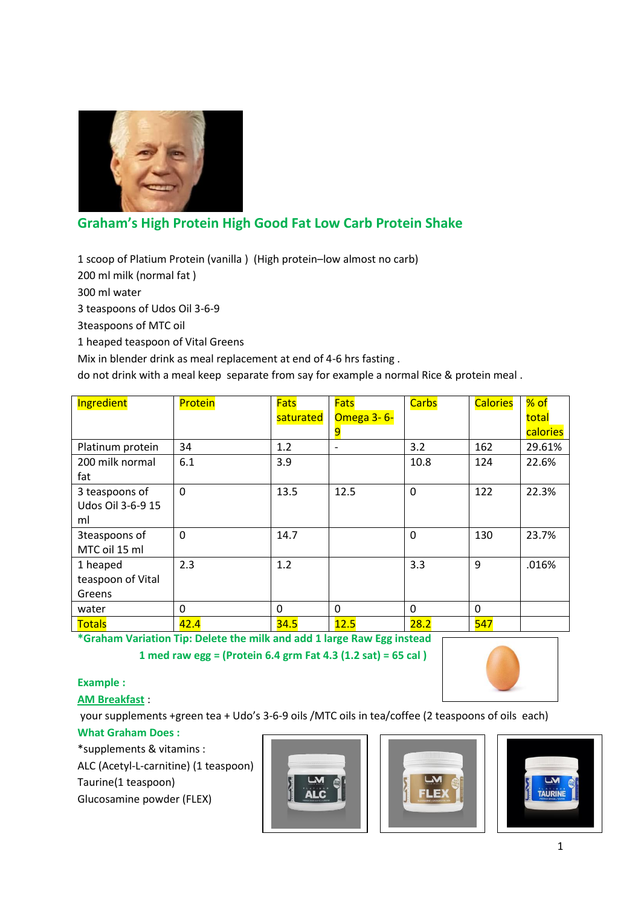

## **Graham's High Protein High Good Fat Low Carb Protein Shake**

1 scoop of Platium Protein (vanilla ) (High protein–low almost no carb)

200 ml milk (normal fat )

300 ml water

3 teaspoons of Udos Oil 3-6-9

3teaspoons of MTC oil

1 heaped teaspoon of Vital Greens

Mix in blender drink as meal replacement at end of 4-6 hrs fasting .

do not drink with a meal keep separate from say for example a normal Rice & protein meal .

| Ingredient        | Protein     | <b>Fats</b> | <b>Fats</b>       | <b>Carbs</b> | <b>Calories</b> | % of     |
|-------------------|-------------|-------------|-------------------|--------------|-----------------|----------|
|                   |             | saturated   | <b>Omega 3-6-</b> |              |                 | total    |
|                   |             |             |                   |              |                 | calories |
| Platinum protein  | 34          | 1.2         | ٠                 | 3.2          | 162             | 29.61%   |
| 200 milk normal   | 6.1         | 3.9         |                   | 10.8         | 124             | 22.6%    |
| fat               |             |             |                   |              |                 |          |
| 3 teaspoons of    | $\mathbf 0$ | 13.5        | 12.5              | $\Omega$     | 122             | 22.3%    |
| Udos Oil 3-6-9 15 |             |             |                   |              |                 |          |
| ml                |             |             |                   |              |                 |          |
| 3teaspoons of     | $\mathbf 0$ | 14.7        |                   | $\Omega$     | 130             | 23.7%    |
| MTC oil 15 ml     |             |             |                   |              |                 |          |
| 1 heaped          | 2.3         | 1.2         |                   | 3.3          | 9               | .016%    |
| teaspoon of Vital |             |             |                   |              |                 |          |
| Greens            |             |             |                   |              |                 |          |
| water             | 0           | $\Omega$    | $\mathbf{0}$      | $\Omega$     | $\Omega$        |          |
| <b>Totals</b>     | 42.4        | 34.5        | 12.5              | 28.2         | 547             |          |

**\*Graham Variation Tip: Delete the milk and add 1 large Raw Egg instead**

**1 med raw egg = (Protein 6.4 grm Fat 4.3 (1.2 sat) = 65 cal )**

#### **Example :**

**AM Breakfast** :

your supplements +green tea + Udo's 3-6-9 oils /MTC oils in tea/coffee (2 teaspoons of oils each)

### **What Graham Does :**

\*supplements & vitamins : ALC (Acetyl-L-carnitine) (1 teaspoon) Taurine(1 teaspoon) Glucosamine powder (FLEX)





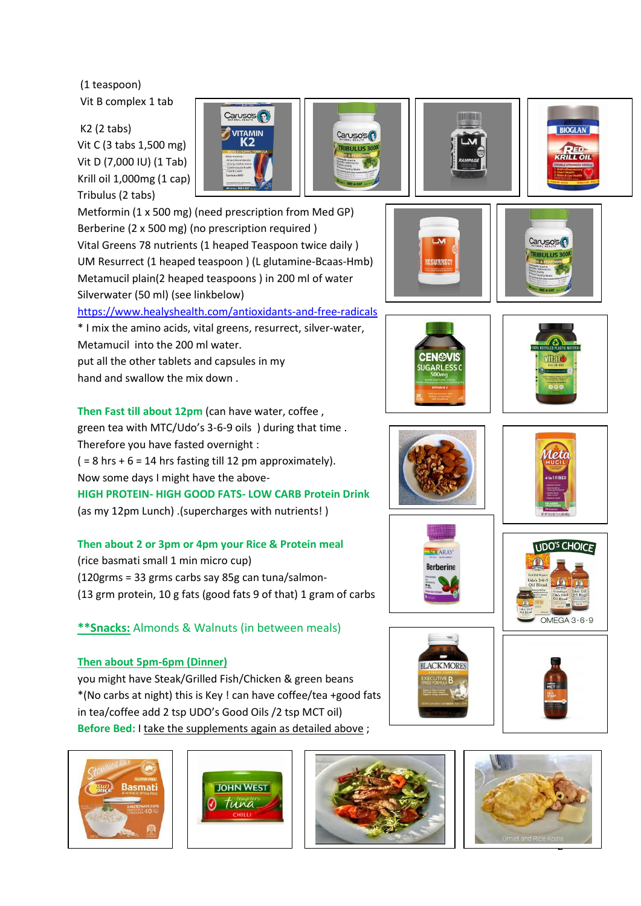### (1 teaspoon) Vit B complex 1 tab

K2 (2 tabs) Vit C (3 tabs 1,500 mg) Vit D (7,000 IU) (1 Tab) Krill oil 1,000mg (1 cap) Tribulus (2 tabs)



Caruso's P

Metformin (1 x 500 mg) (need prescription from Med GP) Berberine (2 x 500 mg) (no prescription required ) Vital Greens 78 nutrients (1 heaped Teaspoon twice daily ) UM Resurrect (1 heaped teaspoon ) (L glutamine-Bcaas-Hmb) Metamucil plain(2 heaped teaspoons ) in 200 ml of water Silverwater (50 ml) (see linkbelow)

### <https://www.healyshealth.com/antioxidants-and-free-radicals>

\* I mix the amino acids, vital greens, resurrect, silver-water, Metamucil into the 200 ml water.

put all the other tablets and capsules in my hand and swallow the mix down .

**Then Fast till about 12pm** (can have water, coffee , green tea with MTC/Udo's 3-6-9 oils ) during that time . Therefore you have fasted overnight :  $( = 8 \text{ hrs} + 6 = 14 \text{ hrs}$  fasting till 12 pm approximately). Now some days I might have the above-**HIGH PROTEIN- HIGH GOOD FATS- LOW CARB Protein Drink** (as my 12pm Lunch) .(supercharges with nutrients! )

## **Then about 2 or 3pm or 4pm your Rice & Protein meal**

(rice basmati small 1 min micro cup) (120grms = 33 grms carbs say 85g can tuna/salmon- (13 grm protein, 10 g fats (good fats 9 of that) 1 gram of carbs

## **\*\*Snacks:** Almonds & Walnuts (in between meals)

#### **Then about 5pm-6pm (Dinner)**

you might have Steak/Grilled Fish/Chicken & green beans \*(No carbs at night) this is Key ! can have coffee/tea +good fats in tea/coffee add 2 tsp UDO's Good Oils /2 tsp MCT oil) **Before Bed:** I take the supplements again as detailed above ;

























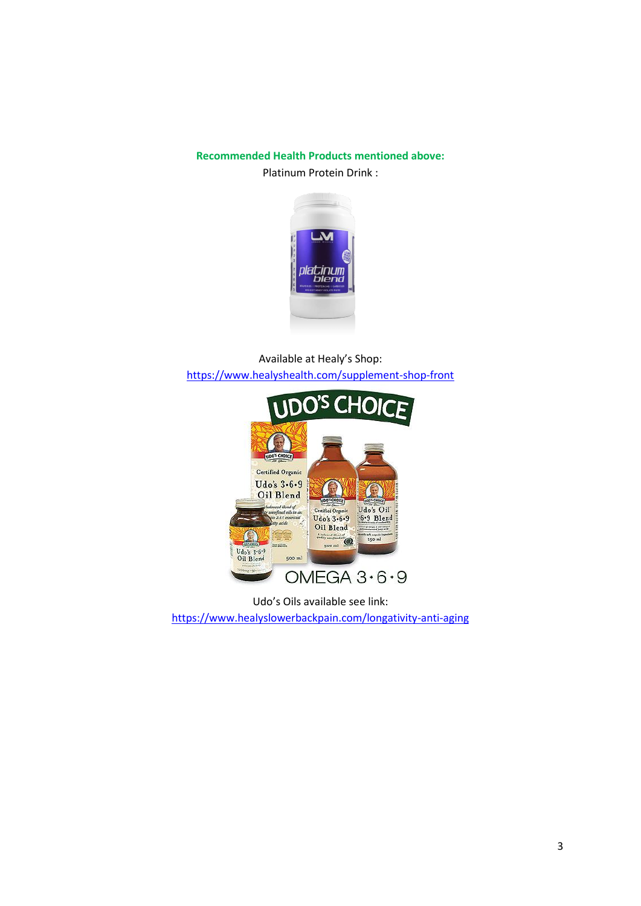#### **Recommended Health Products mentioned above:**  Platinum Protein Drink :



Available at Healy's Shop: <https://www.healyshealth.com/supplement-shop-front>



Udo's Oils available see link: <https://www.healyslowerbackpain.com/longativity-anti-aging>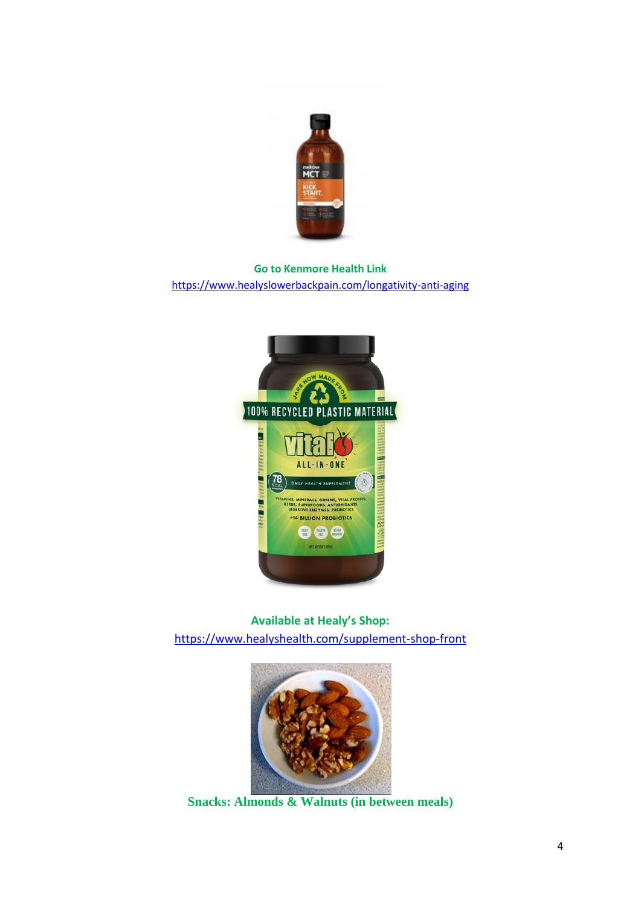

**Go to Kenmore Health Link**  <https://www.healyslowerbackpain.com/longativity-anti-aging>



**Available at Healy's Shop:** <https://www.healyshealth.com/supplement-shop-front>



**Snacks: Almonds & Walnuts (in between meals)**